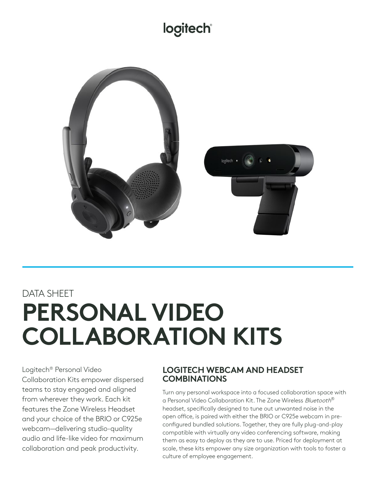# **logitech®**



# DATA SHEET **PERSONAL VIDEO COLLABORATION KITS**

Logitech® Personal Video Collaboration Kits empower dispersed teams to stay engaged and aligned from wherever they work. Each kit features the Zone Wireless Headset and your choice of the BRIO or C925e webcam—delivering studio-quality audio and life-like video for maximum collaboration and peak productivity.

## **LOGITECH WEBCAM AND HEADSET COMBINATIONS**

Turn any personal workspace into a focused collaboration space with a Personal Video Collaboration Kit. The Zone Wireless Bluetooth® headset, specifically designed to tune out unwanted noise in the open office, is paired with either the BRIO or C925e webcam in preconfigured bundled solutions. Together, they are fully plug-and-play compatible with virtually any video conferencing software, making them as easy to deploy as they are to use. Priced for deployment at scale, these kits empower any size organization with tools to foster a culture of employee engagement.